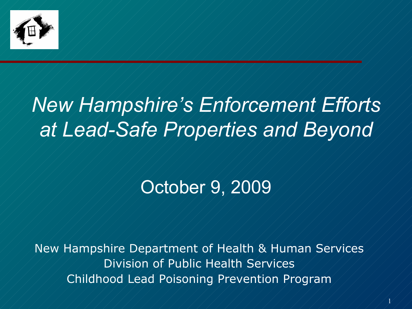

### *New Hampshire's Enforcement Efforts at Lead-Safe Properties and Beyond*

#### October 9, 2009

New Hampshire Department of Health & Human Services Division of Public Health Services Childhood Lead Poisoning Prevention Program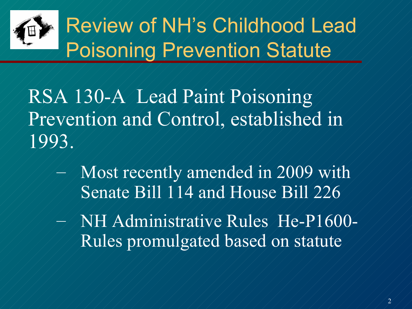

RSA 130-A Lead Paint Poisoning Prevention and Control, established in 1993.

- Most recently amended in 2009 with Senate Bill 114 and House Bill 226
- NH Administrative Rules He-P1600- Rules promulgated based on statute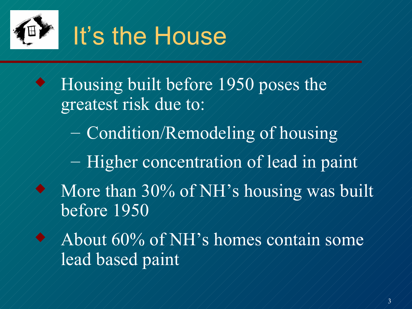

 Housing built before 1950 poses the greatest risk due to: – Condition/Remodeling of housing – Higher concentration of lead in paint More than 30% of NH's housing was built before 1950 About 60% of NH's homes contain some lead based paint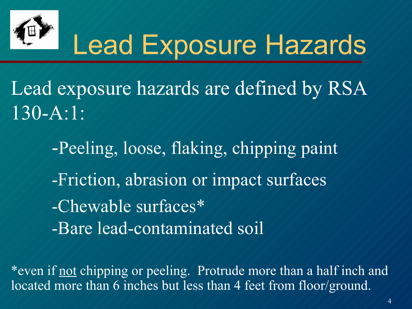

## Lead Exposure Hazards

Lead exposure hazards are defined by RSA 130-A:1:

> -Peeling, loose, flaking, chipping paint -Friction, abrasion or impact surfaces -Chewable surfaces\* -Bare lead-contaminated soil

\*even if not chipping or peeling. Protrude more than a half inch and located more than 6 inches but less than 4 feet from floor/ground.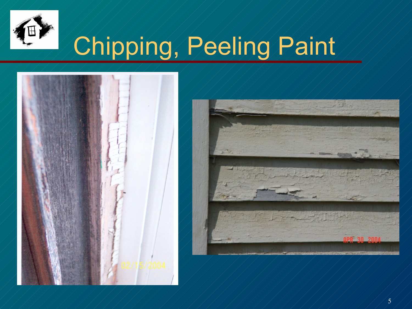

# Chipping, Peeling Paint





5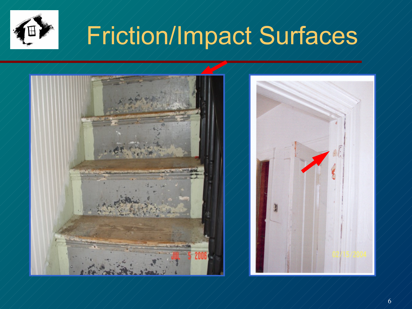

## Friction/Impact Surfaces

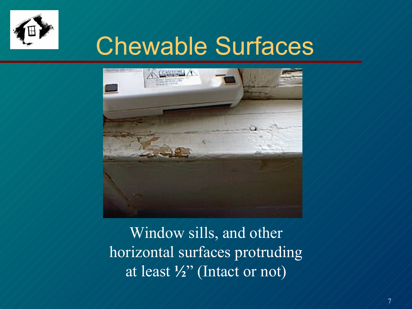

### Chewable Surfaces



Window sills, and other horizontal surfaces protruding at least **½**" (Intact or not)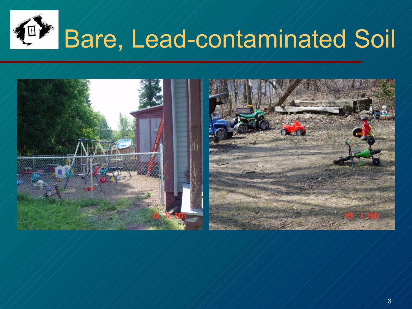

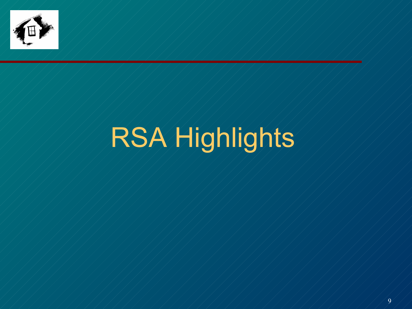

# RSA Highlights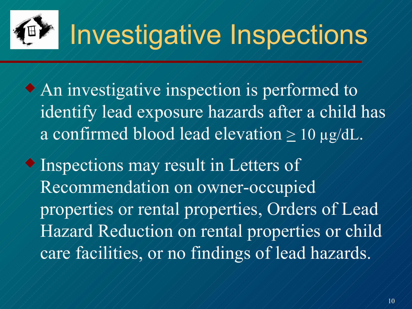

 An investigative inspection is performed to identify lead exposure hazards after a child has a confirmed blood lead elevation  $\geq 10$  µg/dL.

 Inspections may result in Letters of Recommendation on owner-occupied properties or rental properties, Orders of Lead Hazard Reduction on rental properties or child care facilities, or no findings of lead hazards.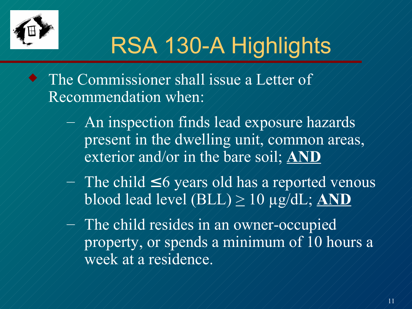

## RSA 130-A Highlights

 The Commissioner shall issue a Letter of Recommendation when:

- An inspection finds lead exposure hazards present in the dwelling unit, common areas, exterior and/or in the bare soil; **AND**
- The child  $\leq 6$  years old has a reported venous  $b$ lood lead level (BLL)  $\geq 10$   $\mu$ g/dL; AND
- The child resides in an owner-occupied property, or spends a minimum of 10 hours a week at a residence.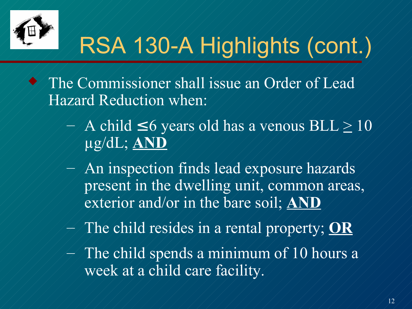

## RSA 130-A Highlights (cont.)

- The Commissioner shall issue an Order of Lead Hazard Reduction when:
	- A child  $\leq 6$  years old has a venous  $BLL \geq 10$ µg/dL; **AND**
	- An inspection finds lead exposure hazards present in the dwelling unit, common areas, exterior and/or in the bare soil; **AND**
	- The child resides in a rental property; **OR**
	- The child spends a minimum of 10 hours a week at a child care facility.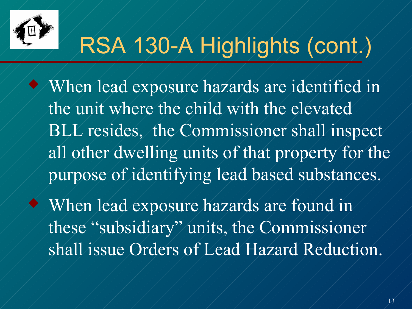

### RSA 130-A Highlights (cont.)

 When lead exposure hazards are identified in the unit where the child with the elevated BLL resides, the Commissioner shall inspect all other dwelling units of that property for the purpose of identifying lead based substances.

 When lead exposure hazards are found in these "subsidiary" units, the Commissioner shall issue Orders of Lead Hazard Reduction.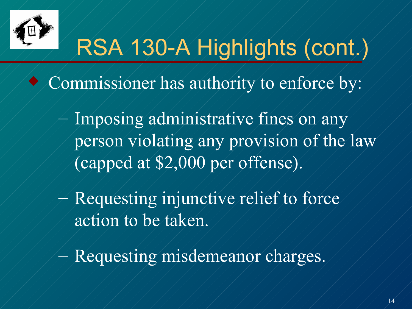

## RSA 130-A Highlights (cont.)

- Commissioner has authority to enforce by:
	- $\mathcal{L}$  Imposing administrative fines on any person violating any provision of the law (capped at \$2,000 per offense).
		- Requesting injunctive relief to force action to be taken.
		- Requesting misdemeanor charges.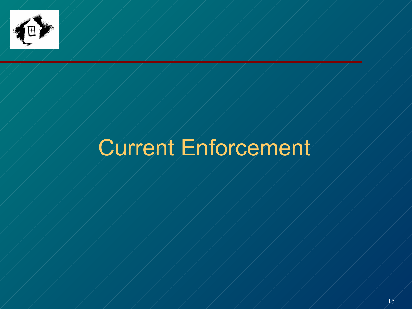

 $\frac{1}{2}$ 

### Current Enforcement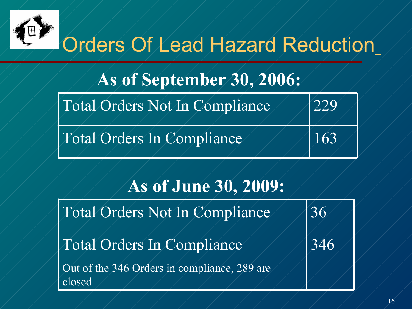

### Orders Of Lead Hazard Reduction

#### **As of September 30, 2006:**

|  | Total Orders Not In Compliance | $\sqrt{229}$ |
|--|--------------------------------|--------------|
|  |                                |              |

Total Orders In Compliance 163



346

#### **As of June 30, 2009:**

Total Orders Not In Compliance 1186

Total Orders In Compliance

Out of the 346 Orders in compliance, 289 are closed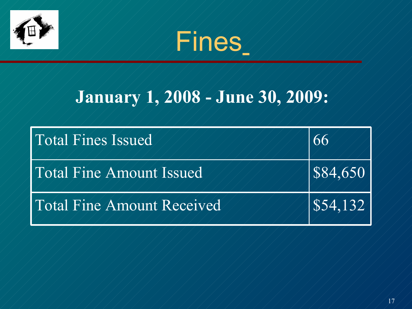



#### **January 1, 2008 - June 30, 2009:**

| <b>Total Fines Issued</b>  | 66                             |
|----------------------------|--------------------------------|
| Total Fine Amount Issued   | S84,650                        |
| Total Fine Amount Received | $\left  $54,132 \right\rangle$ |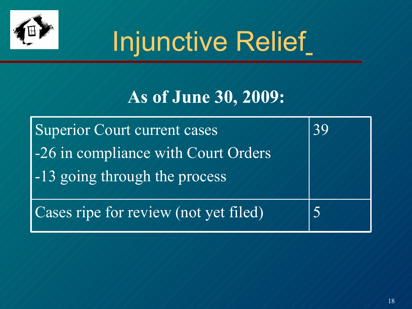

# Injunctive Relief

#### **As of June 30, 2009:**

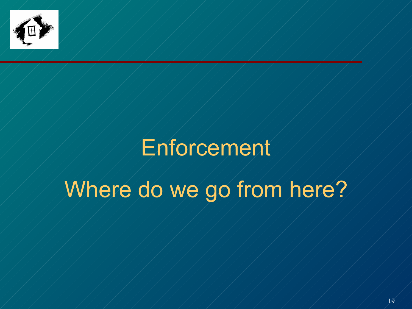

 $\frac{1}{2}$ 

### Enforcement

### Where do we go from here?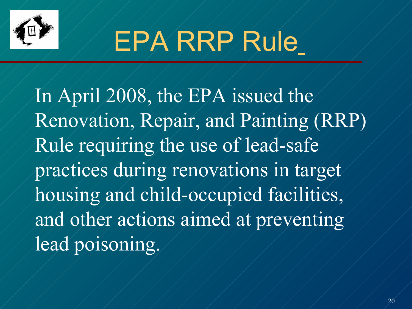

# EPA RRP Rule

In April 2008, the EPA issued the Renovation, Repair, and Painting (RRP) Rule requiring the use of lead-safe practices during renovations in target housing and child-occupied facilities, and other actions aimed at preventing lead poisoning.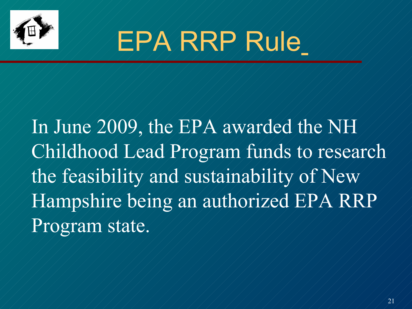

# EPA RRP Rule

In June 2009, the EPA awarded the NH Childhood Lead Program funds to research the feasibility and sustainability of New Hampshire being an authorized EPA RRP Program state.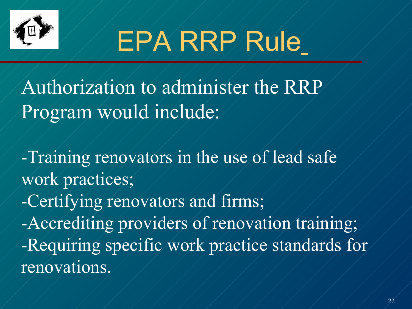

# EPA RRP Rule

Authorization to administer the RRP Program would include:

-Training renovators in the use of lead safe work practices;

-Certifying renovators and firms;

-Accrediting providers of renovation training; -Requiring specific work practice standards for renovations.